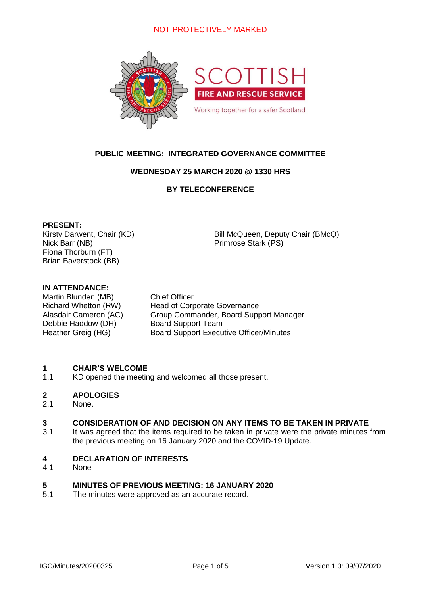# NOT PROTECTIVELY MARKED



# **PUBLIC MEETING: INTEGRATED GOVERNANCE COMMITTEE**

### **WEDNESDAY 25 MARCH 2020 @ 1330 HRS**

# **BY TELECONFERENCE**

### **PRESENT:**

Nick Barr (NB) Primrose Stark (PS) Fiona Thorburn (FT) Brian Baverstock (BB)

Kirsty Darwent, Chair (KD) Bill McQueen, Deputy Chair (BMcQ)

### **IN ATTENDANCE:**

Martin Blunden (MB) Chief Officer Debbie Haddow (DH) Board Support Team

Richard Whetton (RW) Head of Corporate Governance Alasdair Cameron (AC) Group Commander, Board Support Manager Heather Greig (HG) Board Support Executive Officer/Minutes

#### **1 CHAIR'S WELCOME**

1.1 KD opened the meeting and welcomed all those present.

#### **2 APOLOGIES**

2.1 None.

#### **3 CONSIDERATION OF AND DECISION ON ANY ITEMS TO BE TAKEN IN PRIVATE**

3.1 It was agreed that the items required to be taken in private were the private minutes from the previous meeting on 16 January 2020 and the COVID-19 Update.

#### **4 DECLARATION OF INTERESTS**

4.1 None

#### **5 MINUTES OF PREVIOUS MEETING: 16 JANUARY 2020**

5.1 The minutes were approved as an accurate record.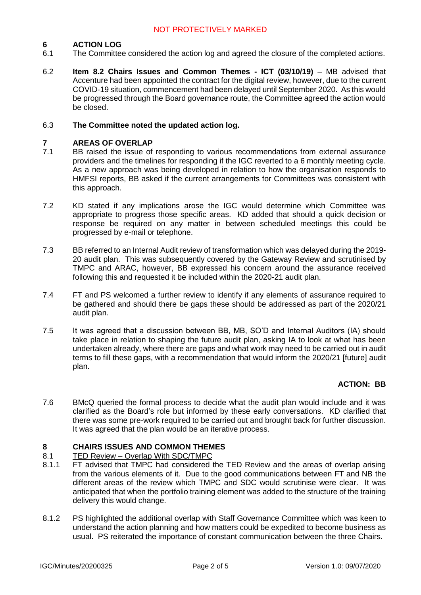#### **6 ACTION LOG**

- 6.1 The Committee considered the action log and agreed the closure of the completed actions.
- 6.2 **Item 8.2 Chairs Issues and Common Themes - ICT (03/10/19)** – MB advised that Accenture had been appointed the contract for the digital review, however, due to the current COVID-19 situation, commencement had been delayed until September 2020. As this would be progressed through the Board governance route, the Committee agreed the action would be closed.

#### 6.3 **The Committee noted the updated action log.**

#### **7 AREAS OF OVERLAP**

- 7.1 BB raised the issue of responding to various recommendations from external assurance providers and the timelines for responding if the IGC reverted to a 6 monthly meeting cycle. As a new approach was being developed in relation to how the organisation responds to HMFSI reports, BB asked if the current arrangements for Committees was consistent with this approach.
- 7.2 KD stated if any implications arose the IGC would determine which Committee was appropriate to progress those specific areas. KD added that should a quick decision or response be required on any matter in between scheduled meetings this could be progressed by e-mail or telephone.
- 7.3 BB referred to an Internal Audit review of transformation which was delayed during the 2019- 20 audit plan. This was subsequently covered by the Gateway Review and scrutinised by TMPC and ARAC, however, BB expressed his concern around the assurance received following this and requested it be included within the 2020-21 audit plan.
- 7.4 FT and PS welcomed a further review to identify if any elements of assurance required to be gathered and should there be gaps these should be addressed as part of the 2020/21 audit plan.
- 7.5 It was agreed that a discussion between BB, MB, SO'D and Internal Auditors (IA) should take place in relation to shaping the future audit plan, asking IA to look at what has been undertaken already, where there are gaps and what work may need to be carried out in audit terms to fill these gaps, with a recommendation that would inform the 2020/21 [future] audit plan.

### **ACTION: BB**

7.6 BMcQ queried the formal process to decide what the audit plan would include and it was clarified as the Board's role but informed by these early conversations. KD clarified that there was some pre-work required to be carried out and brought back for further discussion. It was agreed that the plan would be an iterative process.

#### **8 CHAIRS ISSUES AND COMMON THEMES**

#### 8.1 TED Review – Overlap With SDC/TMPC

- 8.1.1 FT advised that TMPC had considered the TED Review and the areas of overlap arising from the various elements of it. Due to the good communications between FT and NB the different areas of the review which TMPC and SDC would scrutinise were clear. It was anticipated that when the portfolio training element was added to the structure of the training delivery this would change.
- 8.1.2 PS highlighted the additional overlap with Staff Governance Committee which was keen to understand the action planning and how matters could be expedited to become business as usual. PS reiterated the importance of constant communication between the three Chairs.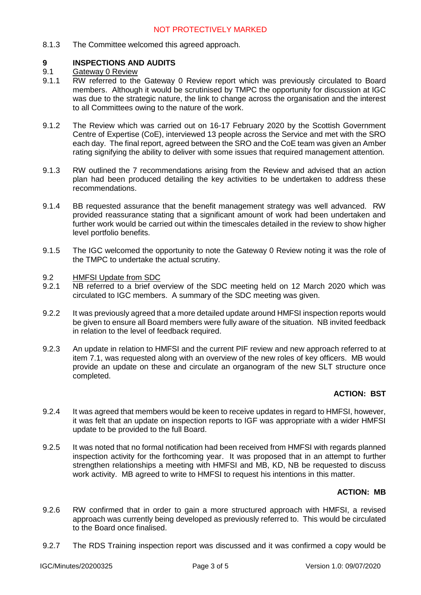8.1.3 The Committee welcomed this agreed approach.

#### **9 INSPECTIONS AND AUDITS**

#### 9.1 Gateway 0 Review

- 9.1.1 RW referred to the Gateway 0 Review report which was previously circulated to Board members. Although it would be scrutinised by TMPC the opportunity for discussion at IGC was due to the strategic nature, the link to change across the organisation and the interest to all Committees owing to the nature of the work.
- 9.1.2 The Review which was carried out on 16-17 February 2020 by the Scottish Government Centre of Expertise (CoE), interviewed 13 people across the Service and met with the SRO each day. The final report, agreed between the SRO and the CoE team was given an Amber rating signifying the ability to deliver with some issues that required management attention.
- 9.1.3 RW outlined the 7 recommendations arising from the Review and advised that an action plan had been produced detailing the key activities to be undertaken to address these recommendations.
- 9.1.4 BB requested assurance that the benefit management strategy was well advanced. RW provided reassurance stating that a significant amount of work had been undertaken and further work would be carried out within the timescales detailed in the review to show higher level portfolio benefits.
- 9.1.5 The IGC welcomed the opportunity to note the Gateway 0 Review noting it was the role of the TMPC to undertake the actual scrutiny.
- 9.2 HMFSI Update from SDC
- 9.2.1 NB referred to a brief overview of the SDC meeting held on 12 March 2020 which was circulated to IGC members. A summary of the SDC meeting was given.
- 9.2.2 It was previously agreed that a more detailed update around HMFSI inspection reports would be given to ensure all Board members were fully aware of the situation. NB invited feedback in relation to the level of feedback required.
- 9.2.3 An update in relation to HMFSI and the current PIF review and new approach referred to at item 7.1, was requested along with an overview of the new roles of key officers. MB would provide an update on these and circulate an organogram of the new SLT structure once completed.

# **ACTION: BST**

- 9.2.4 It was agreed that members would be keen to receive updates in regard to HMFSI, however, it was felt that an update on inspection reports to IGF was appropriate with a wider HMFSI update to be provided to the full Board.
- 9.2.5 It was noted that no formal notification had been received from HMFSI with regards planned inspection activity for the forthcoming year. It was proposed that in an attempt to further strengthen relationships a meeting with HMFSI and MB, KD, NB be requested to discuss work activity. MB agreed to write to HMFSI to request his intentions in this matter.

### **ACTION: MB**

- 9.2.6 RW confirmed that in order to gain a more structured approach with HMFSI, a revised approach was currently being developed as previously referred to. This would be circulated to the Board once finalised.
- 9.2.7 The RDS Training inspection report was discussed and it was confirmed a copy would be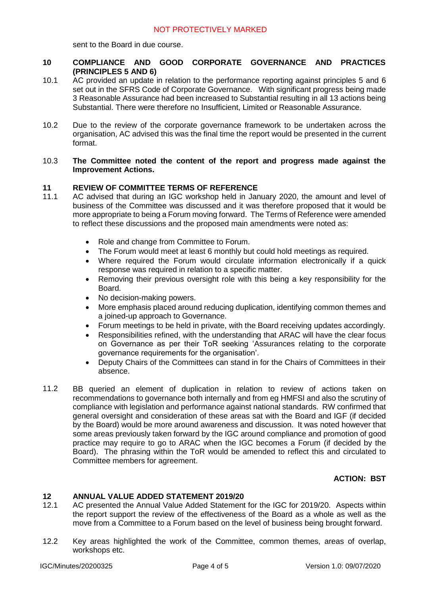sent to the Board in due course.

- **10 COMPLIANCE AND GOOD CORPORATE GOVERNANCE AND PRACTICES (PRINCIPLES 5 AND 6)**
- 10.1 AC provided an update in relation to the performance reporting against principles 5 and 6 set out in the SFRS Code of Corporate Governance. With significant progress being made 3 Reasonable Assurance had been increased to Substantial resulting in all 13 actions being Substantial. There were therefore no Insufficient, Limited or Reasonable Assurance.
- 10.2 Due to the review of the corporate governance framework to be undertaken across the organisation, AC advised this was the final time the report would be presented in the current format.

### 10.3 **The Committee noted the content of the report and progress made against the Improvement Actions.**

#### **11 REVIEW OF COMMITTEE TERMS OF REFERENCE**

- 11.1 AC advised that during an IGC workshop held in January 2020, the amount and level of business of the Committee was discussed and it was therefore proposed that it would be more appropriate to being a Forum moving forward. The Terms of Reference were amended to reflect these discussions and the proposed main amendments were noted as:
	- Role and change from Committee to Forum.
	- The Forum would meet at least 6 monthly but could hold meetings as required.
	- Where required the Forum would circulate information electronically if a quick response was required in relation to a specific matter.
	- Removing their previous oversight role with this being a key responsibility for the Board.
	- No decision-making powers.
	- More emphasis placed around reducing duplication, identifying common themes and a joined-up approach to Governance.
	- Forum meetings to be held in private, with the Board receiving updates accordingly.
	- Responsibilities refined, with the understanding that ARAC will have the clear focus on Governance as per their ToR seeking 'Assurances relating to the corporate governance requirements for the organisation'.
	- Deputy Chairs of the Committees can stand in for the Chairs of Committees in their absence.
- 11.2 BB queried an element of duplication in relation to review of actions taken on recommendations to governance both internally and from eg HMFSI and also the scrutiny of compliance with legislation and performance against national standards. RW confirmed that general oversight and consideration of these areas sat with the Board and IGF (if decided by the Board) would be more around awareness and discussion. It was noted however that some areas previously taken forward by the IGC around compliance and promotion of good practice may require to go to ARAC when the IGC becomes a Forum (if decided by the Board). The phrasing within the ToR would be amended to reflect this and circulated to Committee members for agreement.

### **ACTION: BST**

#### **12 ANNUAL VALUE ADDED STATEMENT 2019/20**

- 12.1 AC presented the Annual Value Added Statement for the IGC for 2019/20. Aspects within the report support the review of the effectiveness of the Board as a whole as well as the move from a Committee to a Forum based on the level of business being brought forward.
- 12.2 Key areas highlighted the work of the Committee, common themes, areas of overlap, workshops etc.